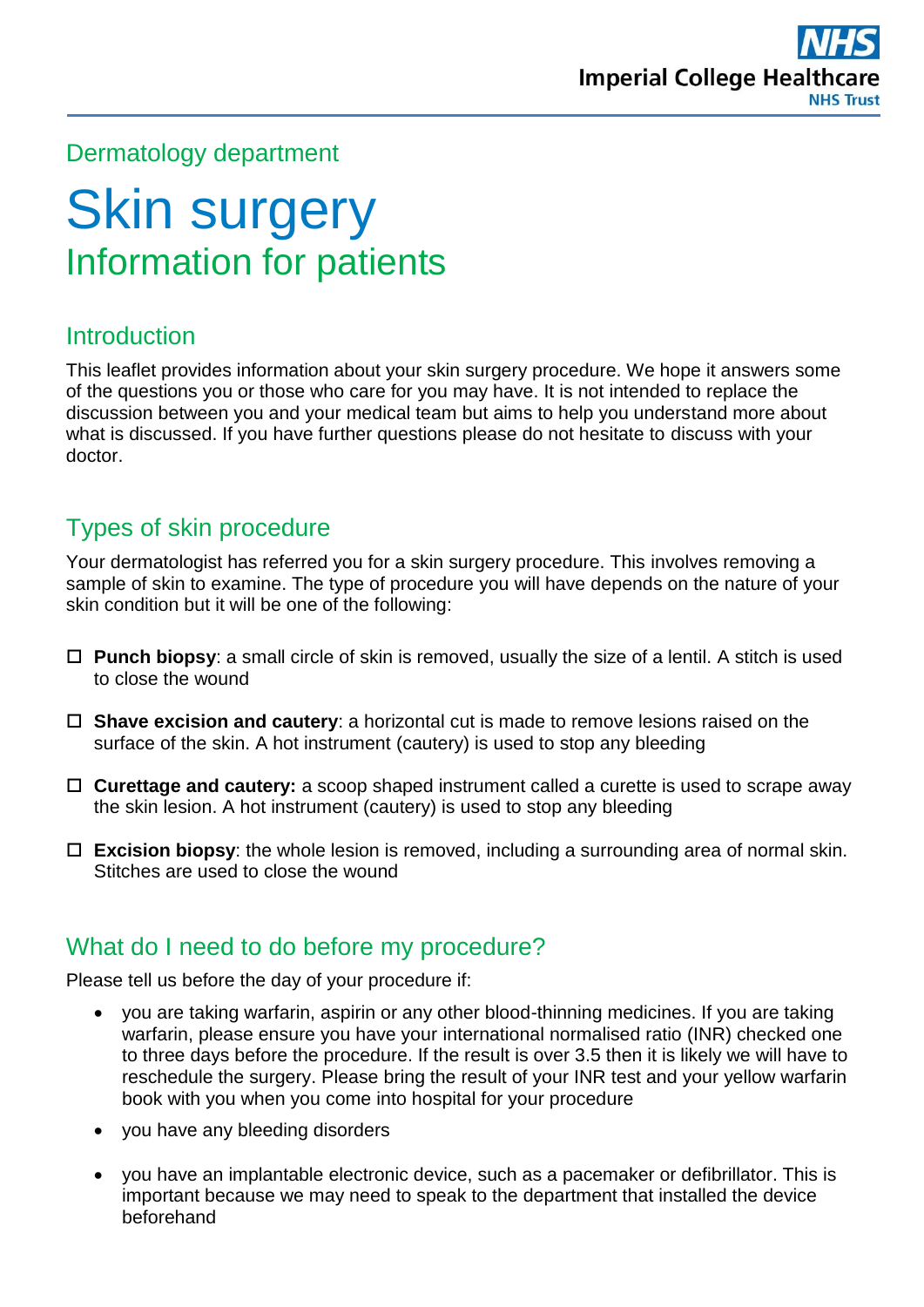### Dermatology department

# Skin surgery Information for patients

### **Introduction**

This leaflet provides information about your skin surgery procedure. We hope it answers some of the questions you or those who care for you may have. It is not intended to replace the discussion between you and your medical team but aims to help you understand more about what is discussed. If you have further questions please do not hesitate to discuss with your doctor.

### Types of skin procedure

Your dermatologist has referred you for a skin surgery procedure. This involves removing a sample of skin to examine. The type of procedure you will have depends on the nature of your skin condition but it will be one of the following:

- **Punch biopsy**: a small circle of skin is removed, usually the size of a lentil. A stitch is used to close the wound
- **Shave excision and cautery**: a horizontal cut is made to remove lesions raised on the surface of the skin. A hot instrument (cautery) is used to stop any bleeding
- **Curettage and cautery:** a scoop shaped instrument called a curette is used to scrape away the skin lesion. A hot instrument (cautery) is used to stop any bleeding
- **Excision biopsy**: the whole lesion is removed, including a surrounding area of normal skin. Stitches are used to close the wound

#### What do I need to do before my procedure?

Please tell us before the day of your procedure if:

- you are taking warfarin, aspirin or any other blood-thinning medicines. If you are taking warfarin, please ensure you have your international normalised ratio (INR) checked one to three days before the procedure. If the result is over 3.5 then it is likely we will have to reschedule the surgery. Please bring the result of your INR test and your yellow warfarin book with you when you come into hospital for your procedure
- you have any bleeding disorders
- you have an implantable electronic device, such as a pacemaker or defibrillator. This is important because we may need to speak to the department that installed the device beforehand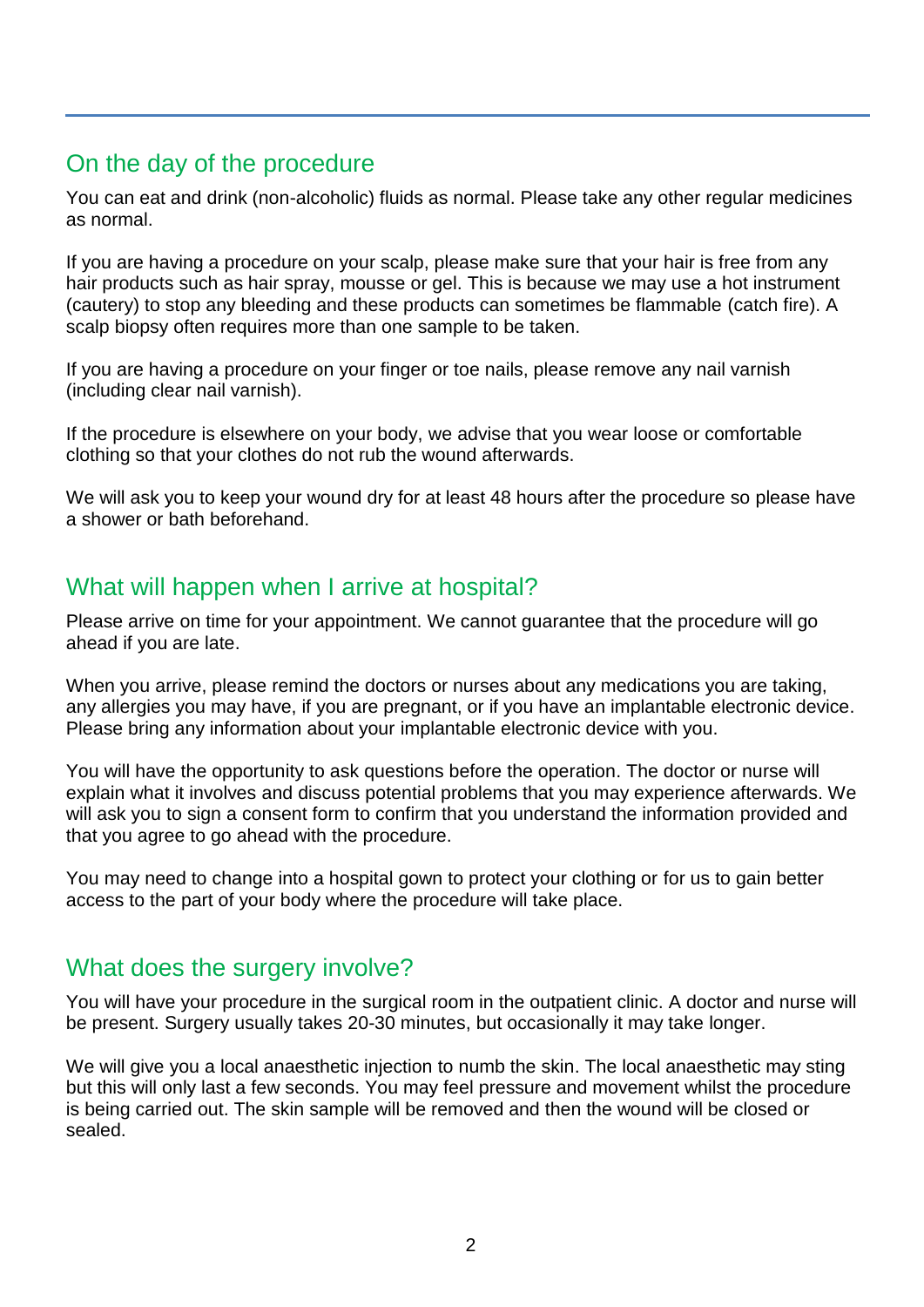# On the day of the procedure

You can eat and drink (non-alcoholic) fluids as normal. Please take any other regular medicines as normal.

If you are having a procedure on your scalp, please make sure that your hair is free from any hair products such as hair spray, mousse or gel. This is because we may use a hot instrument (cautery) to stop any bleeding and these products can sometimes be flammable (catch fire). A scalp biopsy often requires more than one sample to be taken.

If you are having a procedure on your finger or toe nails, please remove any nail varnish (including clear nail varnish).

If the procedure is elsewhere on your body, we advise that you wear loose or comfortable clothing so that your clothes do not rub the wound afterwards.

We will ask you to keep your wound dry for at least 48 hours after the procedure so please have a shower or bath beforehand.

#### What will happen when I arrive at hospital?

Please arrive on time for your appointment. We cannot guarantee that the procedure will go ahead if you are late.

When you arrive, please remind the doctors or nurses about any medications you are taking, any allergies you may have, if you are pregnant, or if you have an implantable electronic device. Please bring any information about your implantable electronic device with you.

You will have the opportunity to ask questions before the operation. The doctor or nurse will explain what it involves and discuss potential problems that you may experience afterwards. We will ask you to sign a consent form to confirm that you understand the information provided and that you agree to go ahead with the procedure.

You may need to change into a hospital gown to protect your clothing or for us to gain better access to the part of your body where the procedure will take place.

#### What does the surgery involve?

You will have your procedure in the surgical room in the outpatient clinic. A doctor and nurse will be present. Surgery usually takes 20-30 minutes, but occasionally it may take longer.

We will give you a local anaesthetic injection to numb the skin. The local anaesthetic may sting but this will only last a few seconds. You may feel pressure and movement whilst the procedure is being carried out. The skin sample will be removed and then the wound will be closed or sealed.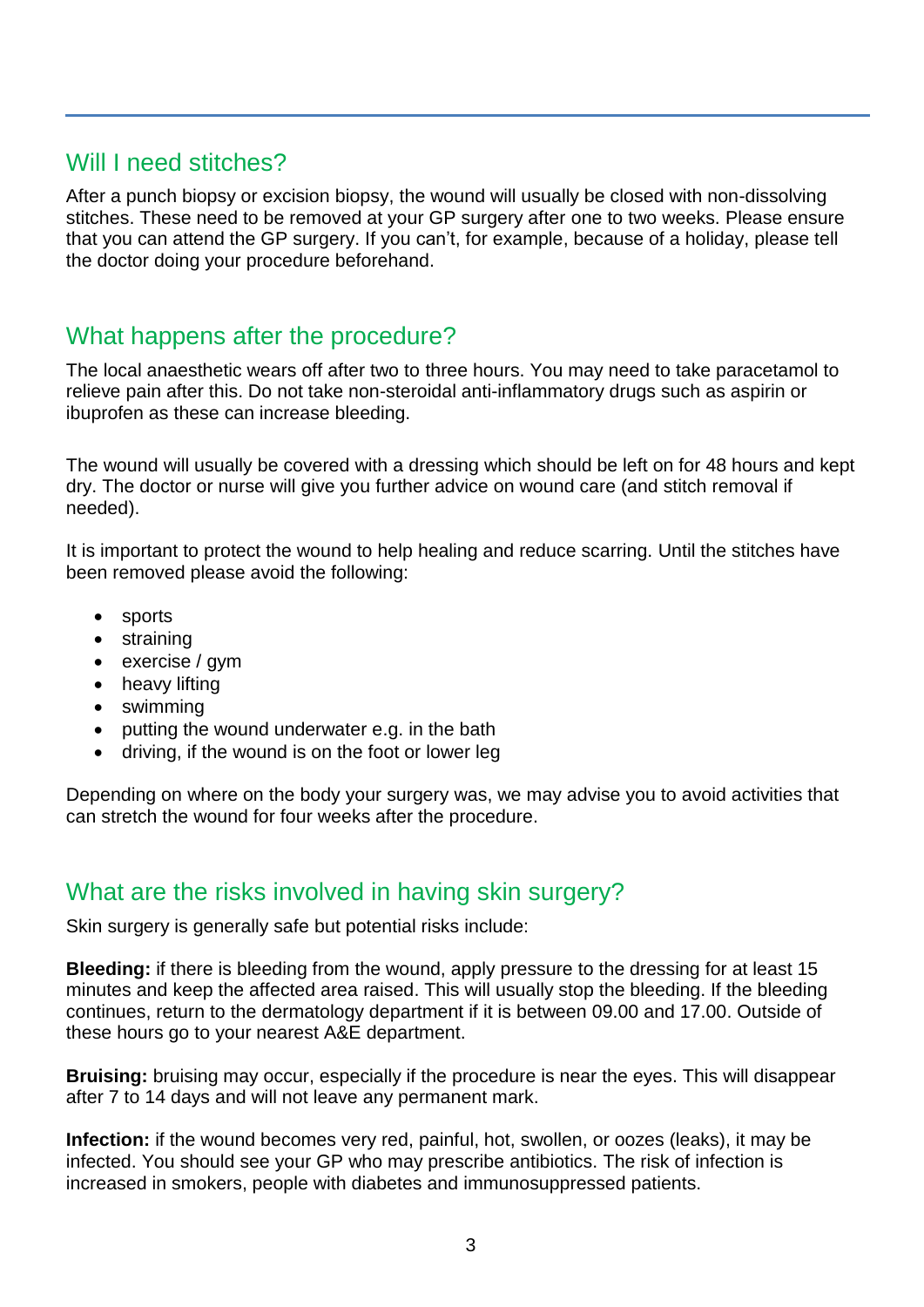#### Will I need stitches?

After a punch biopsy or excision biopsy, the wound will usually be closed with non-dissolving stitches. These need to be removed at your GP surgery after one to two weeks. Please ensure that you can attend the GP surgery. If you can't, for example, because of a holiday, please tell the doctor doing your procedure beforehand.

# What happens after the procedure?

The local anaesthetic wears off after two to three hours. You may need to take paracetamol to relieve pain after this. Do not take non-steroidal anti-inflammatory drugs such as aspirin or ibuprofen as these can increase bleeding.

The wound will usually be covered with a dressing which should be left on for 48 hours and kept dry. The doctor or nurse will give you further advice on wound care (and stitch removal if needed).

It is important to protect the wound to help healing and reduce scarring. Until the stitches have been removed please avoid the following:

- sports
- straining
- exercise / gym
- heavy lifting
- swimming
- putting the wound underwater e.g. in the bath
- driving, if the wound is on the foot or lower leg

Depending on where on the body your surgery was, we may advise you to avoid activities that can stretch the wound for four weeks after the procedure.

#### What are the risks involved in having skin surgery?

Skin surgery is generally safe but potential risks include:

**Bleeding:** if there is bleeding from the wound, apply pressure to the dressing for at least 15 minutes and keep the affected area raised. This will usually stop the bleeding. If the bleeding continues, return to the dermatology department if it is between 09.00 and 17.00. Outside of these hours go to your nearest A&E department.

**Bruising:** bruising may occur, especially if the procedure is near the eyes. This will disappear after 7 to 14 days and will not leave any permanent mark.

**Infection:** if the wound becomes very red, painful, hot, swollen, or oozes (leaks), it may be infected. You should see your GP who may prescribe antibiotics. The risk of infection is increased in smokers, people with diabetes and immunosuppressed patients.